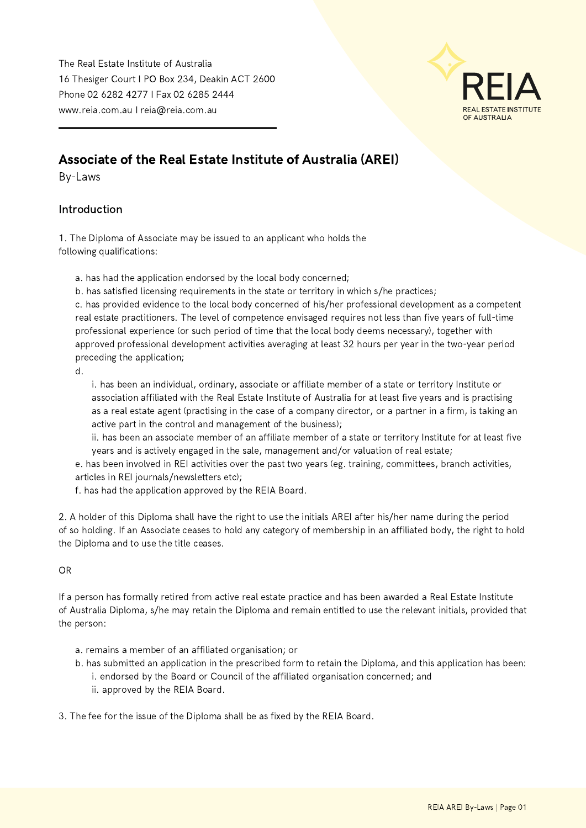The Real Estate Institute of Australia 16 Thesiger Court I PO Box 234, Deakin ACT 2600 Phone 02 6282 4277 I Fax 02 6285 2444 www.reia.com.au I reia@reia.com.au



## Associate of the Real Estate Institute of Australia (AREI)

By-Laws

## Introduction

1. The Diploma of Associate may be issued to an applicant who holds the following qualifications:

a. has had the application endorsed by the local body concerned;

b. has satisfied licensing requirements in the state or territory in which s/he practices;

c. has provided evidence to the local body concerned of his/her professional development as a competent real estate practitioners. The level of competence envisaged requires not less than five years of full-time professional experience (or such period of time that the local body deems necessary), together with approved professional development activities averaging at least 32 hours per year in the two-year period preceding the application;

d.

as a real estate agent (practising in the case of a company director, or a partner in a firm, is taking an active part in the control and management of the business); i. has been an individual, ordinary, associate or affiliate member of a state or territory Institute or association affiliated with the Real Estate Institute of Australia for at least five years and is practising

ii. has been an associate member of an affiliate member of a state or territory Institute for at least five years and is actively engaged in the sale, management and/or valuation of real estate;

e. has been involved in REI activities over the past two years (eg. training, committees, branch activities, articles in REI journals/newsletters etc);

f. has had the application approved by the REIA Board.

2. A holder of this Diploma shall have the right to use the initials AREI after his/her name during the period of so holding. If an Associate ceases to hold any category of membership in an affiliated body, the right to hold the Diploma and to use the title ceases.

OR

If a person has formally retired from active real estate practice and has been awarded a Real Estate Institute of Australia Diploma, s/he may retain the Diploma and remain entitled to use the relevant initials, provided that the person:

- a. remains a member of an affiliated organisation; or
- b. has submitted an application in the prescribed form to retain the Diploma, and this application has been: i. endorsed by the Board or Council of the affiliated organisation concerned; and ii. approved by the REIA Board.

3. The fee for the issue of the Diploma shall be as fixed by the REIA Board.